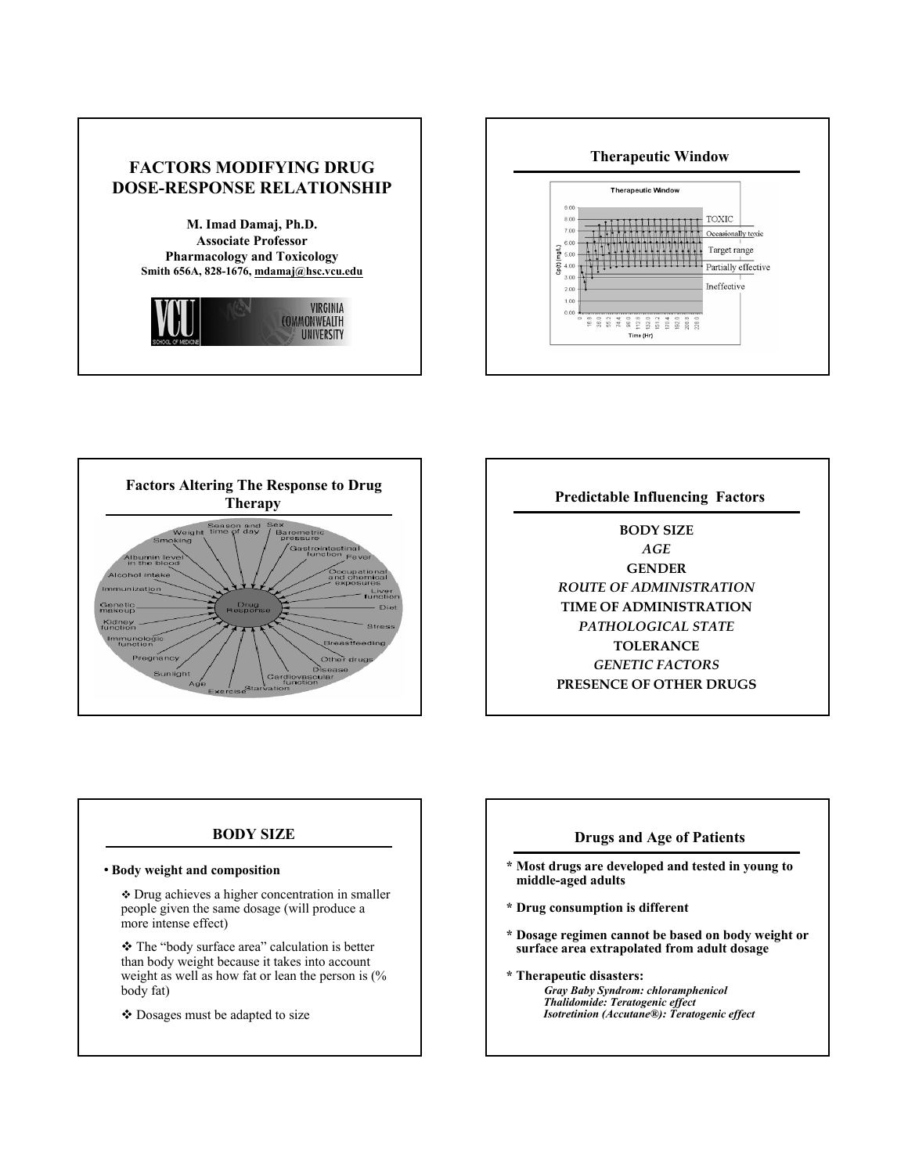





**BODY SIZE** *AGE* **GENDER** *ROUTE OF ADMINISTRATION* **TIME OF ADMINISTRATION** *PATHOLOGICAL STATE* **TOLERANCE** *GENETIC FACTORS* **PRESENCE OF OTHER DRUGS**

#### **BODY SIZE**

#### • **Body weight and composition**

 Drug achieves a higher concentration in smaller people given the same dosage (will produce a more intense effect)

 The "body surface area" calculation is better than body weight because it takes into account weight as well as how fat or lean the person is (% body fat)

Dosages must be adapted to size

### **Drugs and Age of Patients**

- **\* Most drugs are developed and tested in young to middle-aged adults**
- **\* Drug consumption is different**
- **\* Dosage regimen cannot be based on body weight or surface area extrapolated from adult dosage**
- **\* Therapeutic disasters:** *Gray Baby Syndrom: chloramphenicol Thalidomide: Teratogenic effect Isotretinion (Accutane®): Teratogenic effect*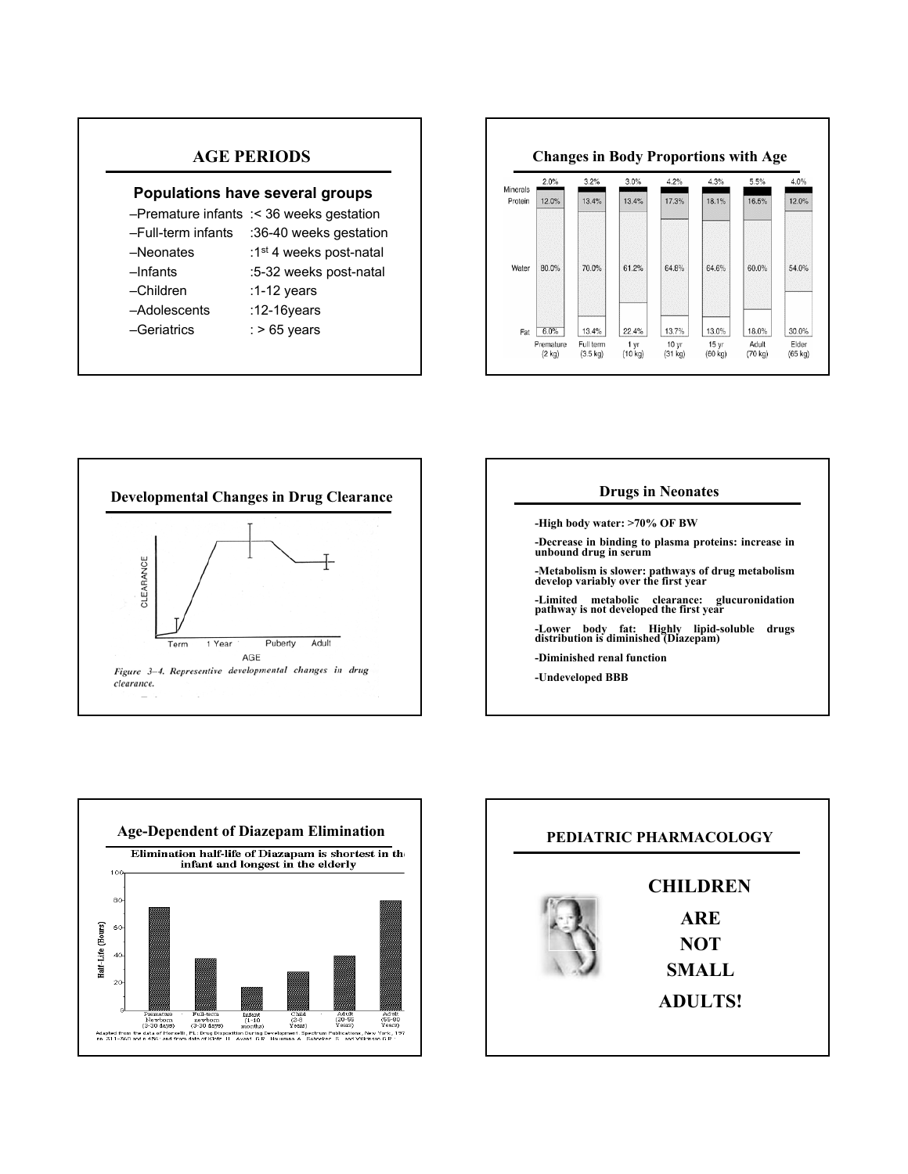# **AGE PERIODS**

#### **Populations have several groups**

- –Premature infants :< 36 weeks gestation –Full-term infants :36-40 weeks gestation –Neonates :1st 4 weeks post-natal –Infants :5-32 weeks post-natal –Children :1-12 years
- –Adolescents :12-16years
- –Geriatrics : > 65 years
- 
- 

**Changes in Body Proportions with Age**

| Minerals | $2.0\%$                               | 3.2%                                     | $3.0\%$                            | $4.2\%$                              | $4.3\%$                                        | $5.5\%$                   | $4.0\%$                   |
|----------|---------------------------------------|------------------------------------------|------------------------------------|--------------------------------------|------------------------------------------------|---------------------------|---------------------------|
| Protein  | 12.0%                                 | 13.4%                                    | 13.4%                              | 17.3%                                | 18.1%                                          | 16.5%                     | 12.0%                     |
| Water    | 80.0%                                 | 70.0%                                    | 61.2%                              | 64.8%                                | 64.6%                                          | 60.0%                     | 54.0%                     |
| Fat      | 6.0%<br>Premature<br>$(2 \text{ kg})$ | 13.4%<br>Full term<br>$(3.5 \text{ kg})$ | 22.4%<br>1 yr<br>$(10 \text{ kg})$ | 13.7%<br>10 <sub>yr</sub><br>(31 kg) | 13.0%<br>15 <sub>vr</sub><br>$(60 \text{ kg})$ | 18.0%<br>Adult<br>(70 kg) | 30.0%<br>Elder<br>(65 kg) |







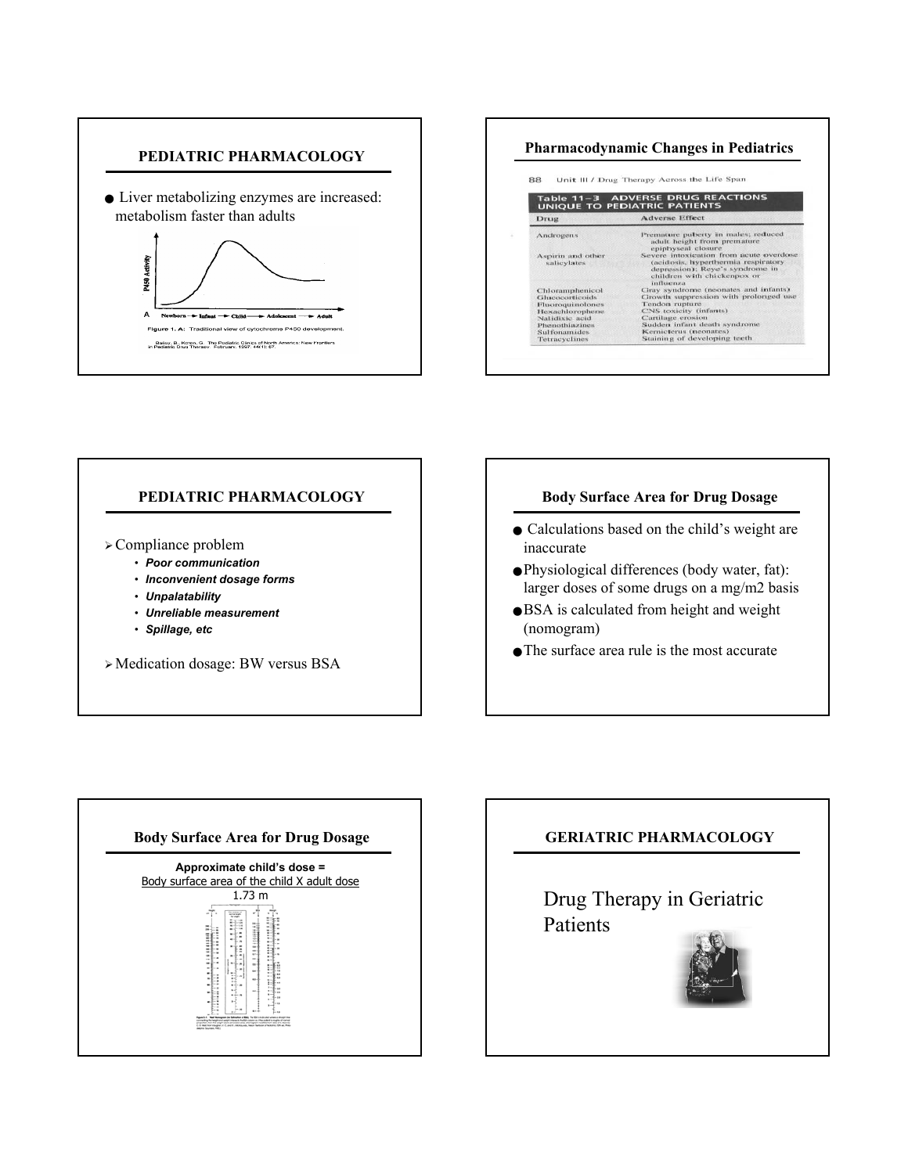



## **PEDIATRIC PHARMACOLOGY**

 $\triangleright$  Compliance problem

- *Poor communication*
- *Inconvenient dosage forms*
- *Unpalatability*
- *Unreliable measurement*
- *Spillage, etc*

¾Medication dosage: BW versus BSA

## **Body Surface Area for Drug Dosage**

- Calculations based on the child's weight are inaccurate
- Physiological differences (body water, fat): larger doses of some drugs on a mg/m2 basis
- BSA is calculated from height and weight (nomogram)
- The surface area rule is the most accurate



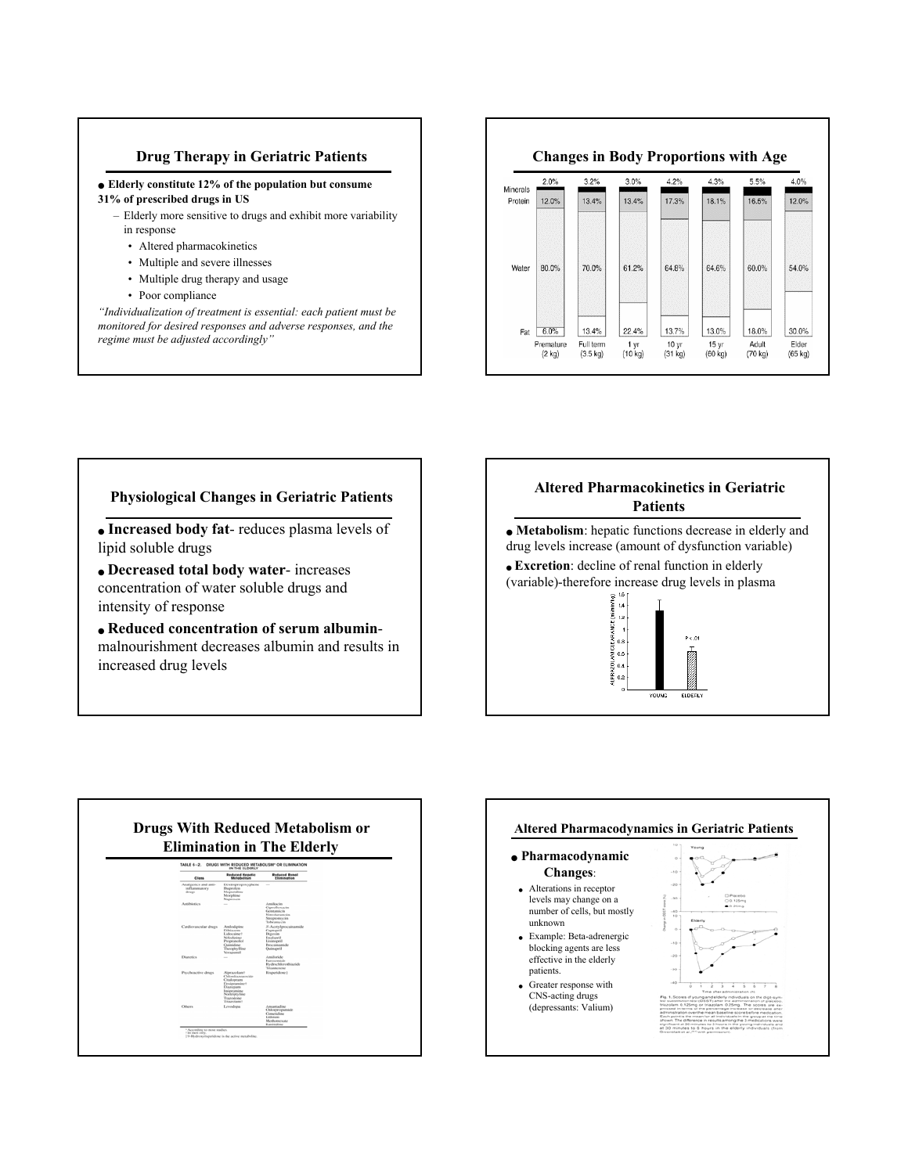#### **Drug Therapy in Geriatric Patients**

# ● **Elderly constitute 12% of the population but consume 31% of prescribed drugs in US**

- Elderly more sensitive to drugs and exhibit more variability in response
	- Altered pharmacokinetics
	- Multiple and severe illnesses
	- Multiple drug therapy and usage
	- Poor compliance

*"Individualization of treatment is essential: each patient must be monitored for desired responses and adverse responses, and the regime must be adjusted accordingly"*

#### **Changes in Body Proportions with Age**  $3.2%$  $3.0%$  $4.2%$  $4.3%$ 5.5%  $4.0%$  $2.0%$ Minerals 16.5% 12.0% Protein  $120%$ 13.4% 13.4% 17.3% 18.1%



## **Physiological Changes in Geriatric Patients**

● **Increased body fat**- reduces plasma levels of lipid soluble drugs

● **Decreased total body water**- increases concentration of water soluble drugs and intensity of response

● **Reduced concentration of serum albumin**malnourishment decreases albumin and results in increased drug levels

# **Altered Pharmacokinetics in Geriatric Patients**

● **Metabolism**: hepatic functions decrease in elderly and drug levels increase (amount of dysfunction variable) • **Excretion**: decline of renal function in elderly (variable)-therefore increase drug levels in plasma





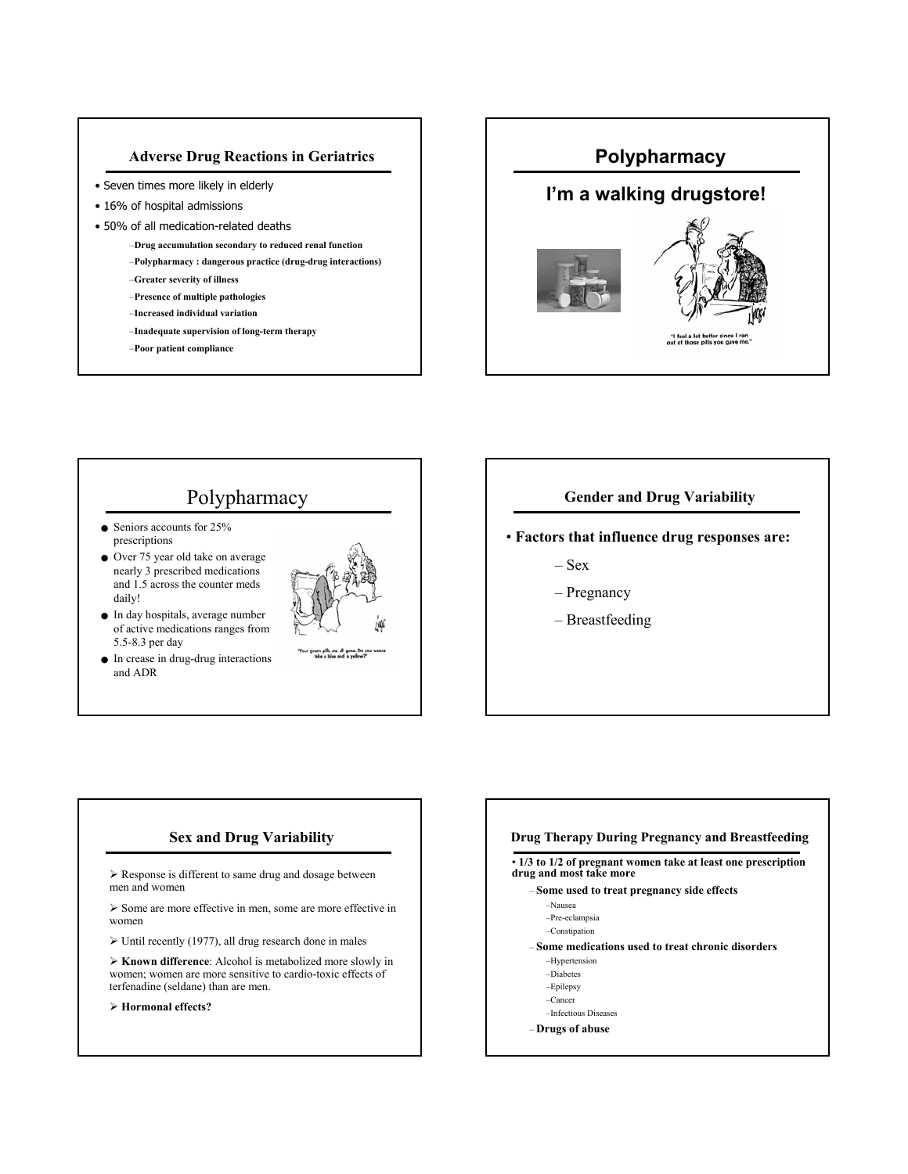#### **Adverse Drug Reactions in Geriatrics**

- Seven times more likely in elderly
- 16% of hospital admissions
- 50% of all medication-related deaths
	- –**Drug accumulation secondary to reduced renal function**
	- –**Polypharmacy : dangerous practice (drug-drug interactions)**
	- –**Greater severity of illness**
	- –**Presence of multiple pathologies**
	- –**Increased individual variation**
	- –**Inadequate supervision of long-term therapy**
	- –**Poor patient compliance**



# Polypharmacy

- Seniors accounts for 25% prescriptions
- Over 75 year old take on average nearly 3 prescribed medications and 1.5 across the counter meds daily!
- In day hospitals, average number of active medications ranges from 5.5-8.3 per day
- In crease in drug-drug interactions and ADR



# **Gender and Drug Variability**

• **Factors that influence drug responses are:**

- Sex
- Pregnancy
- Breastfeeding

### **Sex and Drug Variability**

 $\triangleright$  Response is different to same drug and dosage between men and women

¾ Some are more effective in men, some are more effective in women

 $\triangleright$  Until recently (1977), all drug research done in males

¾ **Known difference**: Alcohol is metabolized more slowly in women; women are more sensitive to cardio-toxic effects of terfenadine (seldane) than are men.

¾ **Hormonal effects?**

#### **Drug Therapy During Pregnancy and Breastfeeding** • **1/3 to 1/2 of pregnant women take at least one prescription drug and most take more** – **Some used to treat pregnancy side effects** –Nausea –Pre-eclampsia –Constipation – **Some medications used to treat chronic disorders** –Hypertension –Diabetes –Epilepsy –Cancer –Infectious Diseases – **Drugs of abuse**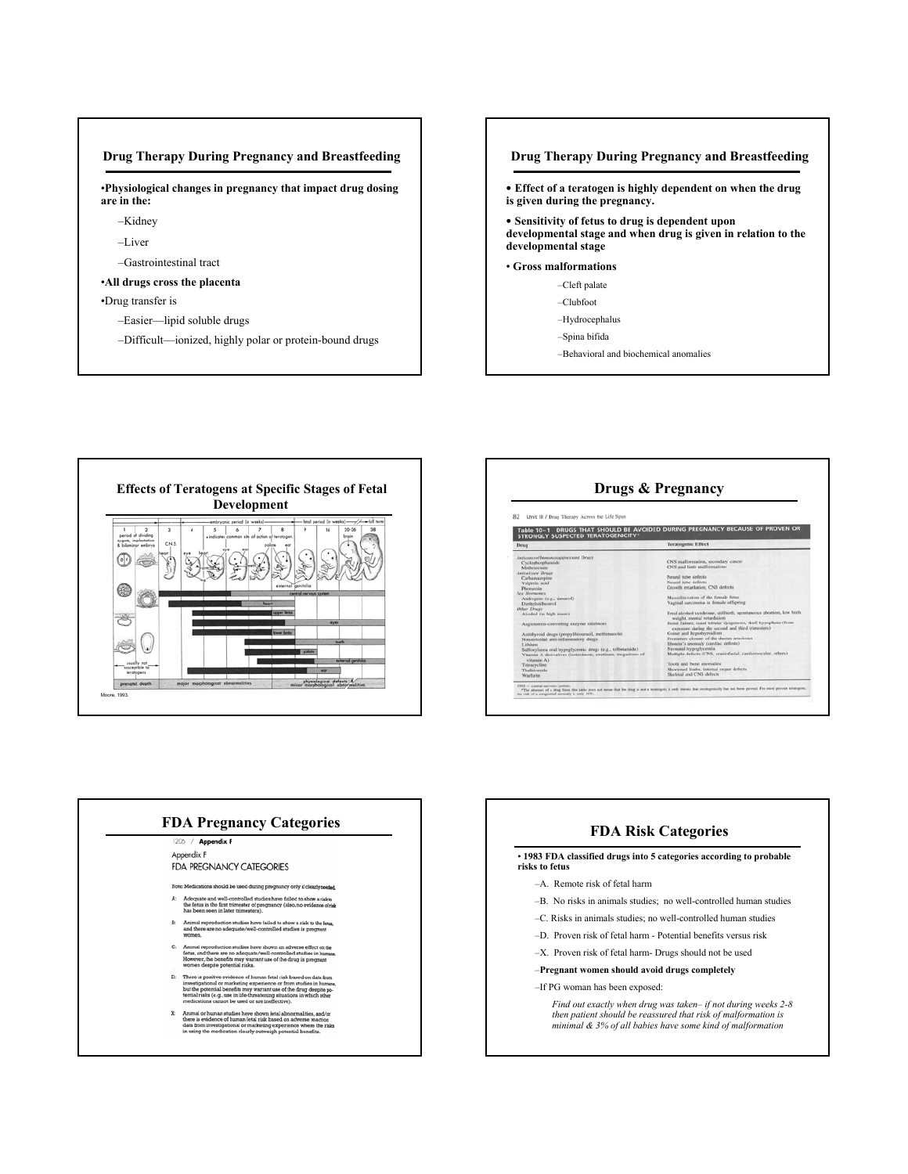#### **Drug Therapy During Pregnancy and Breastfeeding**

•**Physiological changes in pregnancy that impact drug dosing are in the:**

- –Kidney
- –Liver
- –Gastrointestinal tract

#### •**All drugs cross the placenta**

•Drug transfer is

- –Easier—lipid soluble drugs
- –Difficult—ionized, highly polar or protein-bound drugs







# **FDA Pregnancy Categories FDA Risk Categories** Appendix F **FDA PREGNANCY CATEGORIES** Note: Medic ns should be used during pa nd well-controlled studies ha of pr

- nows<br>riele
- ing expe

• **1983 FDA classified drugs into 5 categories according to probable risks to fetus**

- –A. Remote risk of fetal harm
- –B. No risks in animals studies; no well-controlled human studies
- –C. Risks in animals studies; no well-controlled human studies
- –D. Proven risk of fetal harm Potential benefits versus risk
- –X. Proven risk of fetal harm- Drugs should not be used

### –**Pregnant women should avoid drugs completely**

#### –If PG woman has been exposed:

*Find out exactly when drug was taken– if not during weeks 2-8 then patient should be reassured that risk of malformation is minimal & 3% of all babies have some kind of malformation*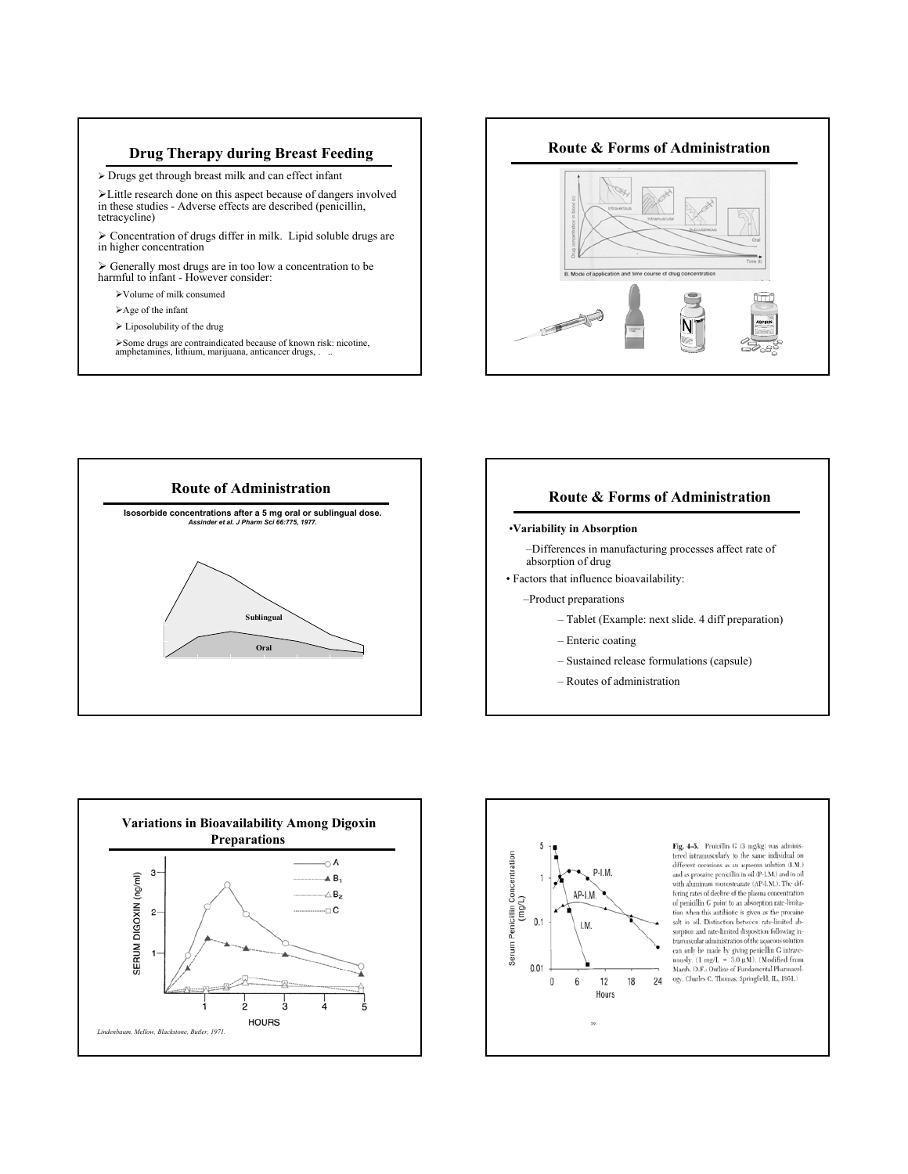#### **Drug Therapy during Breast Feeding**

¾ Drugs get through breast milk and can effect infant

¾Little research done on this aspect because of dangers involved in these studies - Adverse effects are described (penicillin, tetracycline)

 $\triangleright$  Concentration of drugs differ in milk. Lipid soluble drugs are in higher concentration

¾ Generally most drugs are in too low a concentration to be harmful to infant - However consider:

- ¾Volume of milk consumed
- $\blacktriangleright$  Age of the infant
- $\blacktriangleright$  Liposolubility of the drug

¾Some drugs are contraindicated because of known risk: nicotine, amphetamines, lithium, marijuana, anticancer drugs, ...





#### **Route & Forms of Administration**

#### •**Variability in Absorption**

–Differences in manufacturing processes affect rate of absorption of drug

• Factors that influence bioavailability:

–Product preparations

- Tablet (Example: next slide. 4 diff preparation)
- Enteric coating
- Sustained release formulations (capsule)
- Routes of administration



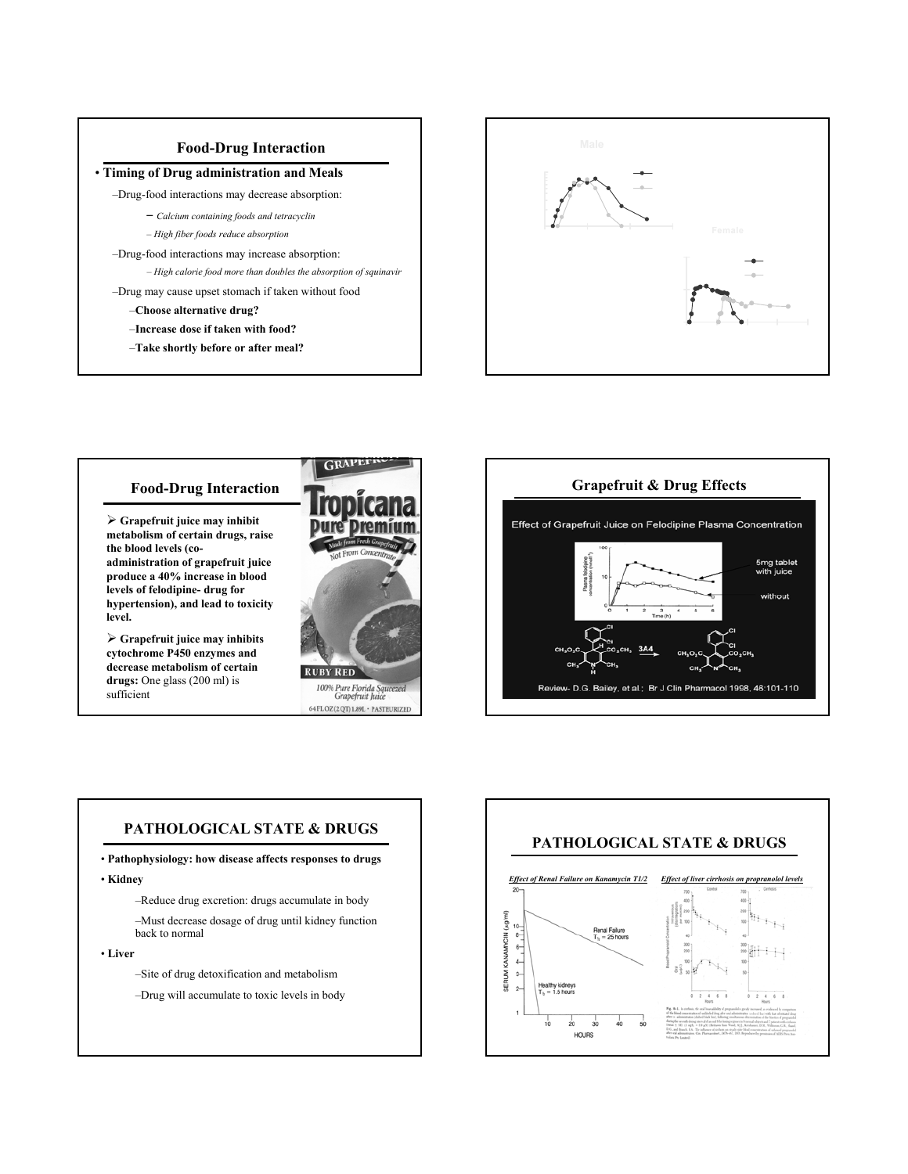

- - *Calcium containing foods and tetracyclin*
	- *High fiber foods reduce absorption*
- –Drug-food interactions may increase absorption: food interactions may increase absorption:
	- *High calorie food more than doubles the absorption of squinavir*
- –Drug may cause upset stomach if taken without food
	- –**Choose alternative drug?**
	- –**Increase dose if taken with food?**
	- –**Take shortly before or after meal?**







### **PATHOLOGICAL STATE & DRUGS**

- **Pathophysiology: how disease affects responses to drugs**
- **Kidney**
	- –Reduce drug excretion: drugs accumulate in body
	- –Must decrease dosage of drug until kidney function back to normal
- **Liver**
	- –Site of drug detoxification and metabolism
	- –Drug will accumulate to toxic levels in body